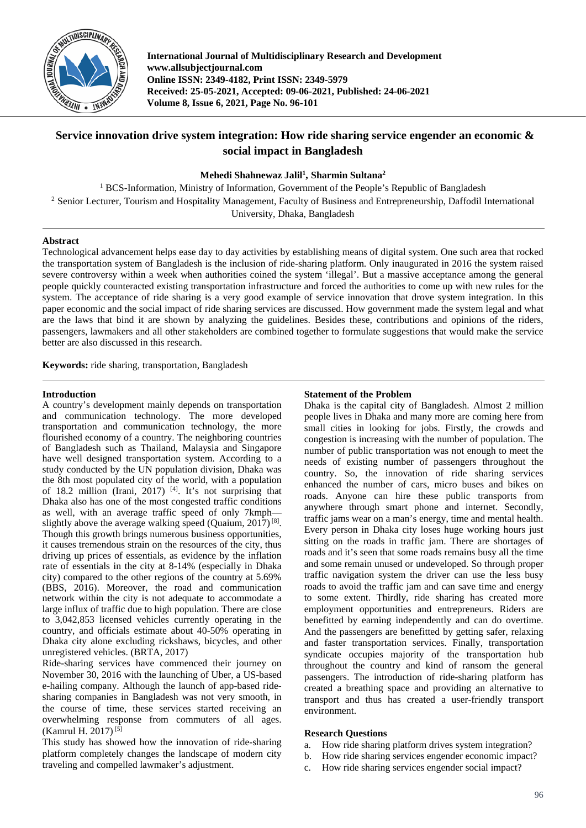

**International Journal of Multidisciplinary Research and Development www.allsubjectjournal.com Online ISSN: 2349-4182, Print ISSN: 2349-5979 Received: 25-05-2021, Accepted: 09-06-2021, Published: 24-06-2021 Volume 8, Issue 6, 2021, Page No. 96-101**

# **Service innovation drive system integration: How ride sharing service engender an economic & social impact in Bangladesh**

# **Mehedi Shahnewaz Jalil1 , Sharmin Sultana2**

<sup>1</sup> BCS-Information, Ministry of Information, Government of the People's Republic of Bangladesh <sup>2</sup> Senior Lecturer, Tourism and Hospitality Management, Faculty of Business and Entrepreneurship, Daffodil International University, Dhaka, Bangladesh

# **Abstract**

Technological advancement helps ease day to day activities by establishing means of digital system. One such area that rocked the transportation system of Bangladesh is the inclusion of ride-sharing platform. Only inaugurated in 2016 the system raised severe controversy within a week when authorities coined the system 'illegal'. But a massive acceptance among the general people quickly counteracted existing transportation infrastructure and forced the authorities to come up with new rules for the system. The acceptance of ride sharing is a very good example of service innovation that drove system integration. In this paper economic and the social impact of ride sharing services are discussed. How government made the system legal and what are the laws that bind it are shown by analyzing the guidelines. Besides these, contributions and opinions of the riders, passengers, lawmakers and all other stakeholders are combined together to formulate suggestions that would make the service better are also discussed in this research.

**Keywords:** ride sharing, transportation, Bangladesh

# **Introduction**

A country's development mainly depends on transportation and communication technology. The more developed transportation and communication technology, the more flourished economy of a country. The neighboring countries of Bangladesh such as Thailand, Malaysia and Singapore have well designed transportation system. According to a study conducted by the UN population division, Dhaka was the 8th most populated city of the world, with a population of 18.2 million (Irani, 2017)<sup>[4]</sup>. It's not surprising that Dhaka also has one of the most congested traffic conditions as well, with an average traffic speed of only 7kmph slightly above the average walking speed (Quaium,  $2017$ )<sup>[8]</sup>. Though this growth brings numerous business opportunities, it causes tremendous strain on the resources of the city, thus driving up prices of essentials, as evidence by the inflation rate of essentials in the city at 8-14% (especially in Dhaka city) compared to the other regions of the country at 5.69% (BBS, 2016). Moreover, the road and communication network within the city is not adequate to accommodate a large influx of traffic due to high population. There are close to 3,042,853 licensed vehicles currently operating in the country, and officials estimate about 40-50% operating in Dhaka city alone excluding rickshaws, bicycles, and other unregistered vehicles. (BRTA, 2017)

Ride-sharing services have commenced their journey on November 30, 2016 with the launching of Uber, a US-based e-hailing company. Although the launch of app-based ridesharing companies in Bangladesh was not very smooth, in the course of time, these services started receiving an overwhelming response from commuters of all ages. (Kamrul H. 2017)<sup>[5]</sup>

This study has showed how the innovation of ride-sharing platform completely changes the landscape of modern city traveling and compelled lawmaker's adjustment.

# **Statement of the Problem**

Dhaka is the capital city of Bangladesh. Almost 2 million people lives in Dhaka and many more are coming here from small cities in looking for jobs. Firstly, the crowds and congestion is increasing with the number of population. The number of public transportation was not enough to meet the needs of existing number of passengers throughout the country. So, the innovation of ride sharing services enhanced the number of cars, micro buses and bikes on roads. Anyone can hire these public transports from anywhere through smart phone and internet. Secondly, traffic jams wear on a man's energy, time and mental health. Every person in Dhaka city loses huge working hours just sitting on the roads in traffic jam. There are shortages of roads and it's seen that some roads remains busy all the time and some remain unused or undeveloped. So through proper traffic navigation system the driver can use the less busy roads to avoid the traffic jam and can save time and energy to some extent. Thirdly, ride sharing has created more employment opportunities and entrepreneurs. Riders are benefitted by earning independently and can do overtime. And the passengers are benefitted by getting safer, relaxing and faster transportation services. Finally, transportation syndicate occupies majority of the transportation hub throughout the country and kind of ransom the general passengers. The introduction of ride-sharing platform has created a breathing space and providing an alternative to transport and thus has created a user-friendly transport environment.

# **Research Questions**

- a. How ride sharing platform drives system integration?
- b. How ride sharing services engender economic impact?
- c. How ride sharing services engender social impact?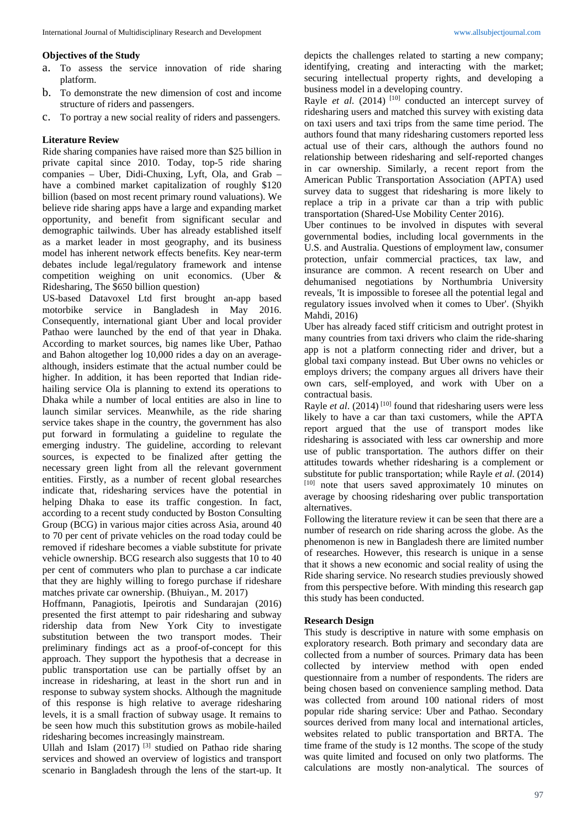#### **Objectives of the Study**

- a. To assess the service innovation of ride sharing platform.
- b. To demonstrate the new dimension of cost and income structure of riders and passengers.
- c. To portray a new social reality of riders and passengers.

#### **Literature Review**

Ride sharing companies have raised more than \$25 billion in private capital since 2010. Today, top-5 ride sharing companies – Uber, Didi-Chuxing, Lyft, Ola, and Grab – have a combined market capitalization of roughly \$120 billion (based on most recent primary round valuations). We believe ride sharing apps have a large and expanding market opportunity, and benefit from significant secular and demographic tailwinds. Uber has already established itself as a market leader in most geography, and its business model has inherent network effects benefits. Key near-term debates include legal/regulatory framework and intense competition weighing on unit economics. (Uber & Ridesharing, The \$650 billion question)

US-based Datavoxel Ltd first brought an-app based motorbike service in Bangladesh in May 2016. Consequently, international giant Uber and local provider Pathao were launched by the end of that year in Dhaka. According to market sources, big names like Uber, Pathao and Bahon altogether log 10,000 rides a day on an averagealthough, insiders estimate that the actual number could be higher. In addition, it has been reported that Indian ridehailing service Ola is planning to extend its operations to Dhaka while a number of local entities are also in line to launch similar services. Meanwhile, as the ride sharing service takes shape in the country, the government has also put forward in formulating a guideline to regulate the emerging industry. The guideline, according to relevant sources, is expected to be finalized after getting the necessary green light from all the relevant government entities. Firstly, as a number of recent global researches indicate that, ridesharing services have the potential in helping Dhaka to ease its traffic congestion. In fact, according to a recent study conducted by Boston Consulting Group (BCG) in various major cities across Asia, around 40 to 70 per cent of private vehicles on the road today could be removed if rideshare becomes a viable substitute for private vehicle ownership. BCG research also suggests that 10 to 40 per cent of commuters who plan to purchase a car indicate that they are highly willing to forego purchase if rideshare matches private car ownership. (Bhuiyan., M. 2017)

Hoffmann, Panagiotis, Ipeirotis and Sundarajan (2016) presented the first attempt to pair ridesharing and subway ridership data from New York City to investigate substitution between the two transport modes. Their preliminary findings act as a proof-of-concept for this approach. They support the hypothesis that a decrease in public transportation use can be partially offset by an increase in ridesharing, at least in the short run and in response to subway system shocks. Although the magnitude of this response is high relative to average ridesharing levels, it is a small fraction of subway usage. It remains to be seen how much this substitution grows as mobile-hailed ridesharing becomes increasingly mainstream.

Ullah and Islam  $(2017)$ <sup>[3]</sup> studied on Pathao ride sharing services and showed an overview of logistics and transport scenario in Bangladesh through the lens of the start-up. It

depicts the challenges related to starting a new company; identifying, creating and interacting with the market; securing intellectual property rights, and developing a business model in a developing country.

Rayle *et al.* (2014) <sup>[10]</sup> conducted an intercept survey of ridesharing users and matched this survey with existing data on taxi users and taxi trips from the same time period. The authors found that many ridesharing customers reported less actual use of their cars, although the authors found no relationship between ridesharing and self-reported changes in car ownership. Similarly, a recent report from the American Public Transportation Association (APTA) used survey data to suggest that ridesharing is more likely to replace a trip in a private car than a trip with public transportation (Shared-Use Mobility Center 2016).

Uber continues to be involved in disputes with several governmental bodies, including local governments in the U.S. and Australia. Questions of employment law, consumer protection, unfair commercial practices, tax law, and insurance are common. A recent research on Uber and dehumanised negotiations by Northumbria University reveals, 'It is impossible to foresee all the potential legal and regulatory issues involved when it comes to Uber'. (Shyikh Mahdi, 2016)

Uber has already faced stiff criticism and outright protest in many countries from taxi drivers who claim the ride-sharing app is not a platform connecting rider and driver, but a global taxi company instead. But Uber owns no vehicles or employs drivers; the company argues all drivers have their own cars, self-employed, and work with Uber on a contractual basis.

Rayle *et al.* (2014)<sup>[10]</sup> found that ridesharing users were less likely to have a car than taxi customers, while the APTA report argued that the use of transport modes like ridesharing is associated with less car ownership and more use of public transportation. The authors differ on their attitudes towards whether ridesharing is a complement or substitute for public transportation; while Rayle *et al*. (2014)  $[10]$  note that users saved approximately 10 minutes on average by choosing ridesharing over public transportation alternatives.

Following the literature review it can be seen that there are a number of research on ride sharing across the globe. As the phenomenon is new in Bangladesh there are limited number of researches. However, this research is unique in a sense that it shows a new economic and social reality of using the Ride sharing service. No research studies previously showed from this perspective before. With minding this research gap this study has been conducted.

# **Research Design**

This study is descriptive in nature with some emphasis on exploratory research. Both primary and secondary data are collected from a number of sources. Primary data has been collected by interview method with open ended questionnaire from a number of respondents. The riders are being chosen based on convenience sampling method. Data was collected from around 100 national riders of most popular ride sharing service: Uber and Pathao. Secondary sources derived from many local and international articles, websites related to public transportation and BRTA. The time frame of the study is 12 months. The scope of the study was quite limited and focused on only two platforms. The calculations are mostly non-analytical. The sources of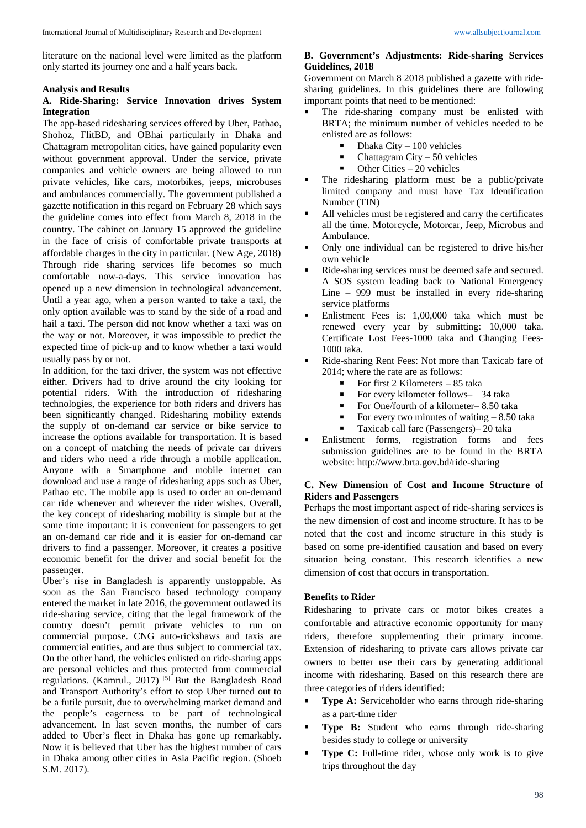literature on the national level were limited as the platform only started its journey one and a half years back.

#### **Analysis and Results**

# **A. Ride-Sharing: Service Innovation drives System Integration**

The app-based ridesharing services offered by Uber, Pathao, Shohoz, FlitBD, and OBhai particularly in Dhaka and Chattagram metropolitan cities, have gained popularity even without government approval. Under the service, private companies and vehicle owners are being allowed to run private vehicles, like cars, motorbikes, jeeps, microbuses and ambulances commercially. The government published a gazette notification in this regard on February 28 which says the guideline comes into effect from March 8, 2018 in the country. The cabinet on January 15 approved the guideline in the face of crisis of comfortable private transports at affordable charges in the city in particular. (New Age, 2018) Through ride sharing services life becomes so much comfortable now-a-days. This service innovation has opened up a new dimension in technological advancement. Until a year ago, when a person wanted to take a taxi, the only option available was to stand by the side of a road and hail a taxi. The person did not know whether a taxi was on the way or not. Moreover, it was impossible to predict the expected time of pick-up and to know whether a taxi would usually pass by or not.

In addition, for the taxi driver, the system was not effective either. Drivers had to drive around the city looking for potential riders. With the introduction of ridesharing technologies, the experience for both riders and drivers has been significantly changed. Ridesharing mobility extends the supply of on-demand car service or bike service to increase the options available for transportation. It is based on a concept of matching the needs of private car drivers and riders who need a ride through a mobile application. Anyone with a Smartphone and mobile internet can download and use a range of ridesharing apps such as Uber, Pathao etc. The mobile app is used to order an on-demand car ride whenever and wherever the rider wishes. Overall, the key concept of ridesharing mobility is simple but at the same time important: it is convenient for passengers to get an on-demand car ride and it is easier for on-demand car drivers to find a passenger. Moreover, it creates a positive economic benefit for the driver and social benefit for the passenger.

Uber's rise in Bangladesh is apparently unstoppable. As soon as the San Francisco based technology company entered the market in late 2016, the government outlawed its ride-sharing service, citing that the legal framework of the country doesn't permit private vehicles to run on commercial purpose. CNG auto-rickshaws and taxis are commercial entities, and are thus subject to commercial tax. On the other hand, the vehicles enlisted on ride-sharing apps are personal vehicles and thus protected from commercial regulations. (Kamrul., 2017) [5] But the Bangladesh Road and Transport Authority's effort to stop Uber turned out to be a futile pursuit, due to overwhelming market demand and the people's eagerness to be part of technological advancement. In last seven months, the number of cars added to Uber's fleet in Dhaka has gone up remarkably. Now it is believed that Uber has the highest number of cars in Dhaka among other cities in Asia Pacific region. (Shoeb S.M. 2017).

# **B. Government's Adjustments: Ride-sharing Services Guidelines, 2018**

Government on March 8 2018 published a gazette with ridesharing guidelines. In this guidelines there are following important points that need to be mentioned:

- The ride-sharing company must be enlisted with BRTA; the minimum number of vehicles needed to be enlisted are as follows:
	- $\blacksquare$  Dhaka City 100 vehicles
	- $\blacksquare$  Chattagram City 50 vehicles
	- Other Cities 20 vehicles
- The ridesharing platform must be a public/private limited company and must have Tax Identification Number (TIN)
- All vehicles must be registered and carry the certificates all the time. Motorcycle, Motorcar, Jeep, Microbus and Ambulance.
- Only one individual can be registered to drive his/her own vehicle
- Ride-sharing services must be deemed safe and secured. A SOS system leading back to National Emergency Line – 999 must be installed in every ride-sharing service platforms
- Enlistment Fees is: 1,00,000 taka which must be renewed every year by submitting: 10,000 taka. Certificate Lost Fees-1000 taka and Changing Fees-1000 taka.
- Ride-sharing Rent Fees: Not more than Taxicab fare of 2014; where the rate are as follows:
	- For first 2 Kilometers  $-85$  taka
	- For every kilometer follows- 34 taka
	- For One/fourth of a kilometer–8.50 taka
	- For every two minutes of waiting  $-8.50$  taka
	- Taxicab call fare (Passengers)– 20 taka
- Enlistment forms, registration forms and fees submission guidelines are to be found in the BRTA website: http://www.brta.gov.bd/ride-sharing

# **C. New Dimension of Cost and Income Structure of Riders and Passengers**

Perhaps the most important aspect of ride-sharing services is the new dimension of cost and income structure. It has to be noted that the cost and income structure in this study is based on some pre-identified causation and based on every situation being constant. This research identifies a new dimension of cost that occurs in transportation.

# **Benefits to Rider**

Ridesharing to private cars or motor bikes creates a comfortable and attractive economic opportunity for many riders, therefore supplementing their primary income. Extension of ridesharing to private cars allows private car owners to better use their cars by generating additional income with ridesharing. Based on this research there are three categories of riders identified:

- **Type A:** Serviceholder who earns through ride-sharing as a part-time rider
- **Type B:** Student who earns through ride-sharing besides study to college or university
- **Type C:** Full-time rider, whose only work is to give trips throughout the day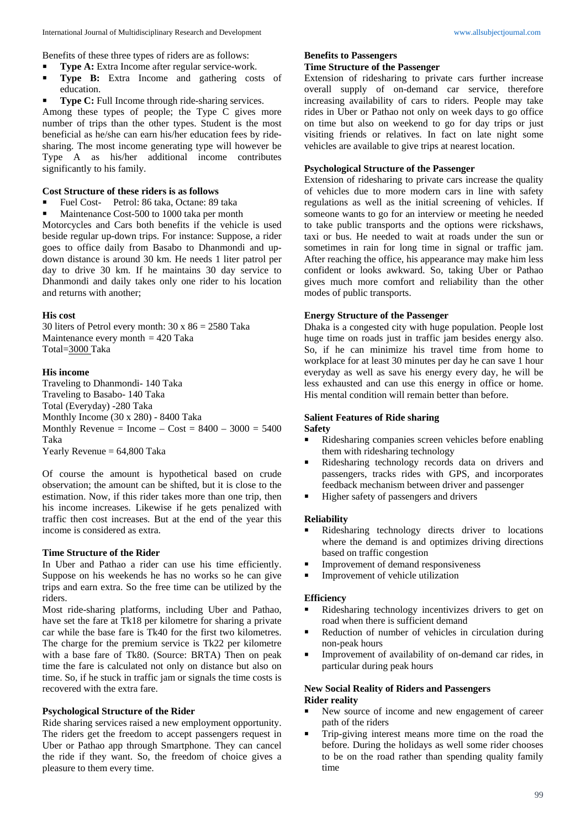Benefits of these three types of riders are as follows:

- **Type A:** Extra Income after regular service-work.
- **Type B:** Extra Income and gathering costs of education.
- **Type C:** Full Income through ride-sharing services.

Among these types of people; the Type C gives more number of trips than the other types. Student is the most beneficial as he/she can earn his/her education fees by ridesharing. The most income generating type will however be Type A as his/her additional income contributes significantly to his family.

# **Cost Structure of these riders is as follows**

- Fuel Cost- Petrol: 86 taka, Octane: 89 taka
- Maintenance Cost-500 to 1000 taka per month

Motorcycles and Cars both benefits if the vehicle is used beside regular up-down trips. For instance: Suppose, a rider goes to office daily from Basabo to Dhanmondi and updown distance is around 30 km. He needs 1 liter patrol per day to drive 30 km. If he maintains 30 day service to Dhanmondi and daily takes only one rider to his location and returns with another;

#### **His cost**

30 liters of Petrol every month: 30 x 86 = 2580 Taka Maintenance every month = 420 Taka Total=3000 Taka

#### **His income**

Traveling to Dhanmondi- 140 Taka Traveling to Basabo- 140 Taka Total (Everyday) -280 Taka Monthly Income (30 x 280) - 8400 Taka Monthly Revenue = Income –  $Cost = 8400 - 3000 = 5400$ Taka Yearly Revenue  $= 64,800$  Taka

Of course the amount is hypothetical based on crude observation; the amount can be shifted, but it is close to the

estimation. Now, if this rider takes more than one trip, then his income increases. Likewise if he gets penalized with traffic then cost increases. But at the end of the year this income is considered as extra.

# **Time Structure of the Rider**

In Uber and Pathao a rider can use his time efficiently. Suppose on his weekends he has no works so he can give trips and earn extra. So the free time can be utilized by the riders.

Most ride-sharing platforms, including Uber and Pathao, have set the fare at Tk18 per kilometre for sharing a private car while the base fare is Tk40 for the first two kilometres. The charge for the premium service is Tk22 per kilometre with a base fare of Tk80. (Source: BRTA) Then on peak time the fare is calculated not only on distance but also on time. So, if he stuck in traffic jam or signals the time costs is recovered with the extra fare.

#### **Psychological Structure of the Rider**

Ride sharing services raised a new employment opportunity. The riders get the freedom to accept passengers request in Uber or Pathao app through Smartphone. They can cancel the ride if they want. So, the freedom of choice gives a pleasure to them every time.

#### **Benefits to Passengers**

#### **Time Structure of the Passenger**

Extension of ridesharing to private cars further increase overall supply of on-demand car service, therefore increasing availability of cars to riders. People may take rides in Uber or Pathao not only on week days to go office on time but also on weekend to go for day trips or just visiting friends or relatives. In fact on late night some vehicles are available to give trips at nearest location.

# **Psychological Structure of the Passenger**

Extension of ridesharing to private cars increase the quality of vehicles due to more modern cars in line with safety regulations as well as the initial screening of vehicles. If someone wants to go for an interview or meeting he needed to take public transports and the options were rickshaws, taxi or bus. He needed to wait at roads under the sun or sometimes in rain for long time in signal or traffic jam. After reaching the office, his appearance may make him less confident or looks awkward. So, taking Uber or Pathao gives much more comfort and reliability than the other modes of public transports.

# **Energy Structure of the Passenger**

Dhaka is a congested city with huge population. People lost huge time on roads just in traffic jam besides energy also. So, if he can minimize his travel time from home to workplace for at least 30 minutes per day he can save 1 hour everyday as well as save his energy every day, he will be less exhausted and can use this energy in office or home. His mental condition will remain better than before.

# **Salient Features of Ride sharing**

#### **Safety**

- Ridesharing companies screen vehicles before enabling them with ridesharing technology
- Ridesharing technology records data on drivers and passengers, tracks rides with GPS, and incorporates feedback mechanism between driver and passenger
- Higher safety of passengers and drivers

# **Reliability**

- Ridesharing technology directs driver to locations where the demand is and optimizes driving directions based on traffic congestion
- Improvement of demand responsiveness
- Improvement of vehicle utilization

#### **Efficiency**

- Ridesharing technology incentivizes drivers to get on road when there is sufficient demand
- Reduction of number of vehicles in circulation during non-peak hours
- Improvement of availability of on-demand car rides, in particular during peak hours

# **New Social Reality of Riders and Passengers Rider reality**

- New source of income and new engagement of career path of the riders
- Trip-giving interest means more time on the road the before. During the holidays as well some rider chooses to be on the road rather than spending quality family time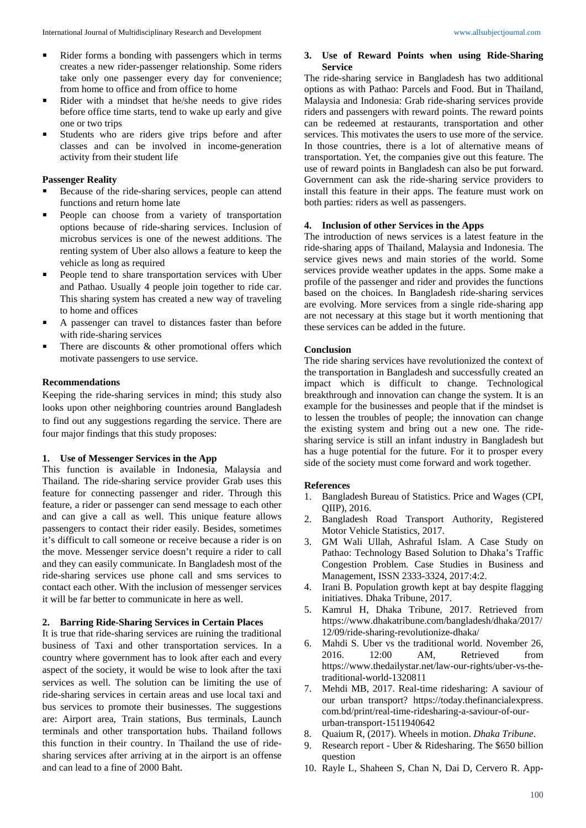- Rider with a mindset that he/she needs to give rides before office time starts, tend to wake up early and give one or two trips
- Students who are riders give trips before and after classes and can be involved in income-generation activity from their student life

# **Passenger Reality**

- Because of the ride-sharing services, people can attend functions and return home late
- **People can choose from a variety of transportation** options because of ride-sharing services. Inclusion of microbus services is one of the newest additions. The renting system of Uber also allows a feature to keep the vehicle as long as required
- People tend to share transportation services with Uber and Pathao. Usually 4 people join together to ride car. This sharing system has created a new way of traveling to home and offices
- A passenger can travel to distances faster than before with ride-sharing services
- There are discounts & other promotional offers which motivate passengers to use service.

# **Recommendations**

Keeping the ride-sharing services in mind; this study also looks upon other neighboring countries around Bangladesh to find out any suggestions regarding the service. There are four major findings that this study proposes:

# **1. Use of Messenger Services in the App**

This function is available in Indonesia, Malaysia and Thailand. The ride-sharing service provider Grab uses this feature for connecting passenger and rider. Through this feature, a rider or passenger can send message to each other and can give a call as well. This unique feature allows passengers to contact their rider easily. Besides, sometimes it's difficult to call someone or receive because a rider is on the move. Messenger service doesn't require a rider to call and they can easily communicate. In Bangladesh most of the ride-sharing services use phone call and sms services to contact each other. With the inclusion of messenger services it will be far better to communicate in here as well.

# **2. Barring Ride-Sharing Services in Certain Places**

It is true that ride-sharing services are ruining the traditional business of Taxi and other transportation services. In a country where government has to look after each and every aspect of the society, it would be wise to look after the taxi services as well. The solution can be limiting the use of ride-sharing services in certain areas and use local taxi and bus services to promote their businesses. The suggestions are: Airport area, Train stations, Bus terminals, Launch terminals and other transportation hubs. Thailand follows this function in their country. In Thailand the use of ridesharing services after arriving at in the airport is an offense and can lead to a fine of 2000 Baht.

# **3. Use of Reward Points when using Ride-Sharing Service**

The ride-sharing service in Bangladesh has two additional options as with Pathao: Parcels and Food. But in Thailand, Malaysia and Indonesia: Grab ride-sharing services provide riders and passengers with reward points. The reward points can be redeemed at restaurants, transportation and other services. This motivates the users to use more of the service. In those countries, there is a lot of alternative means of transportation. Yet, the companies give out this feature. The use of reward points in Bangladesh can also be put forward. Government can ask the ride-sharing service providers to install this feature in their apps. The feature must work on both parties: riders as well as passengers.

# **4. Inclusion of other Services in the Apps**

The introduction of news services is a latest feature in the ride-sharing apps of Thailand, Malaysia and Indonesia. The service gives news and main stories of the world. Some services provide weather updates in the apps. Some make a profile of the passenger and rider and provides the functions based on the choices. In Bangladesh ride-sharing services are evolving. More services from a single ride-sharing app are not necessary at this stage but it worth mentioning that these services can be added in the future.

# **Conclusion**

The ride sharing services have revolutionized the context of the transportation in Bangladesh and successfully created an impact which is difficult to change. Technological breakthrough and innovation can change the system. It is an example for the businesses and people that if the mindset is to lessen the troubles of people; the innovation can change the existing system and bring out a new one. The ridesharing service is still an infant industry in Bangladesh but has a huge potential for the future. For it to prosper every side of the society must come forward and work together.

# **References**

- 1. Bangladesh Bureau of Statistics. Price and Wages (CPI, QIIP), 2016.
- 2. Bangladesh Road Transport Authority, Registered Motor Vehicle Statistics, 2017.
- 3. GM Wali Ullah, Ashraful Islam. A Case Study on Pathao: Technology Based Solution to Dhaka's Traffic Congestion Problem. Case Studies in Business and Management, ISSN 2333-3324, 2017:4:2.
- 4. Irani B. Population growth kept at bay despite flagging initiatives. Dhaka Tribune, 2017.
- 5. Kamrul H, Dhaka Tribune, 2017. Retrieved from https://www.dhakatribune.com/bangladesh/dhaka/2017/ 12/09/ride-sharing-revolutionize-dhaka/
- 6. Mahdi S. Uber vs the traditional world. November 26, 2016. 12:00 AM, Retrieved from https://www.thedailystar.net/law-our-rights/uber-vs-thetraditional-world-1320811
- 7. Mehdi MB, 2017. Real-time ridesharing: A saviour of our urban transport? https://today.thefinancialexpress. com.bd/print/real-time-ridesharing-a-saviour-of-oururban-transport-1511940642
- 8. Quaium R, (2017). Wheels in motion. *Dhaka Tribune*.
- 9. Research report Uber & Ridesharing. The \$650 billion question
- 10. Rayle L, Shaheen S, Chan N, Dai D, Cervero R. App-